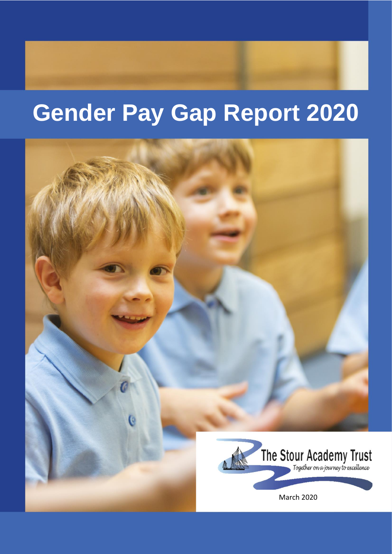# **Gender Pay Gap Report 2020**

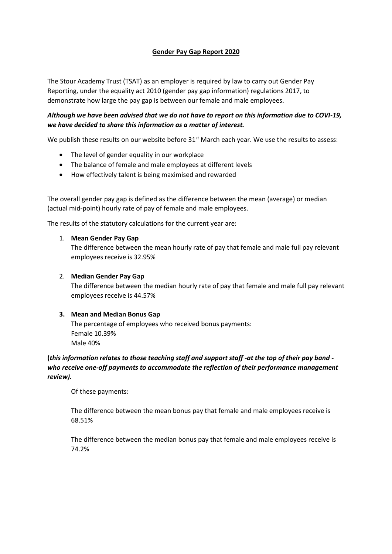### **Gender Pay Gap Report 2020**

The Stour Academy Trust (TSAT) as an employer is required by law to carry out Gender Pay Reporting, under the equality act 2010 (gender pay gap information) regulations 2017, to demonstrate how large the pay gap is between our female and male employees.

## *Although we have been advised that we do not have to report on this information due to COVI-19, we have decided to share this information as a matter of interest.*

We publish these results on our website before 31<sup>st</sup> March each year. We use the results to assess:

- The level of gender equality in our workplace
- The balance of female and male employees at different levels
- How effectively talent is being maximised and rewarded

The overall gender pay gap is defined as the difference between the mean (average) or median (actual mid-point) hourly rate of pay of female and male employees.

The results of the statutory calculations for the current year are:

#### 1. **Mean Gender Pay Gap**

The difference between the mean hourly rate of pay that female and male full pay relevant employees receive is 32.95%

#### 2. **Median Gender Pay Gap**

The difference between the median hourly rate of pay that female and male full pay relevant employees receive is 44.57%

#### **3. Mean and Median Bonus Gap**

The percentage of employees who received bonus payments: Female 10.39% Male 40%

**(***this information relates to those teaching staff and support staff -at the top of their pay band who receive one-off payments to accommodate the reflection of their performance management review).*

Of these payments:

The difference between the mean bonus pay that female and male employees receive is 68.51%

The difference between the median bonus pay that female and male employees receive is 74.2%